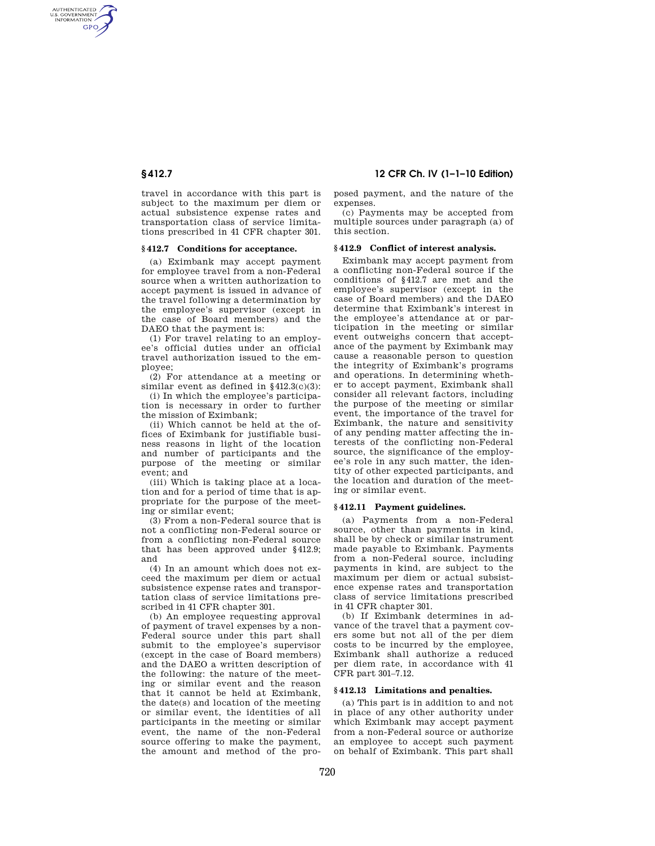AUTHENTICATED<br>U.S. GOVERNMENT<br>INFORMATION **GPO** 

> travel in accordance with this part is subject to the maximum per diem or actual subsistence expense rates and transportation class of service limitations prescribed in 41 CFR chapter 301.

## **§ 412.7 Conditions for acceptance.**

(a) Eximbank may accept payment for employee travel from a non-Federal source when a written authorization to accept payment is issued in advance of the travel following a determination by the employee's supervisor (except in the case of Board members) and the DAEO that the payment is:

(1) For travel relating to an employee's official duties under an official travel authorization issued to the employee;

(2) For attendance at a meeting or similar event as defined in §412.3(c)(3):

(i) In which the employee's participation is necessary in order to further the mission of Eximbank;

(ii) Which cannot be held at the offices of Eximbank for justifiable business reasons in light of the location and number of participants and the purpose of the meeting or similar event; and

(iii) Which is taking place at a location and for a period of time that is appropriate for the purpose of the meeting or similar event;

(3) From a non-Federal source that is not a conflicting non-Federal source or from a conflicting non-Federal source that has been approved under §412.9; and

(4) In an amount which does not exceed the maximum per diem or actual subsistence expense rates and transportation class of service limitations prescribed in 41 CFR chapter 301.

(b) An employee requesting approval of payment of travel expenses by a non-Federal source under this part shall submit to the employee's supervisor (except in the case of Board members) and the DAEO a written description of the following: the nature of the meeting or similar event and the reason that it cannot be held at Eximbank, the date(s) and location of the meeting or similar event, the identities of all participants in the meeting or similar event, the name of the non-Federal source offering to make the payment, the amount and method of the pro-

**§ 412.7 12 CFR Ch. IV (1–1–10 Edition)** 

posed payment, and the nature of the expenses.

(c) Payments may be accepted from multiple sources under paragraph (a) of this section.

### **§ 412.9 Conflict of interest analysis.**

Eximbank may accept payment from a conflicting non-Federal source if the conditions of §412.7 are met and the employee's supervisor (except in the case of Board members) and the DAEO determine that Eximbank's interest in the employee's attendance at or participation in the meeting or similar event outweighs concern that acceptance of the payment by Eximbank may cause a reasonable person to question the integrity of Eximbank's programs and operations. In determining whether to accept payment, Eximbank shall consider all relevant factors, including the purpose of the meeting or similar event, the importance of the travel for Eximbank, the nature and sensitivity of any pending matter affecting the interests of the conflicting non-Federal source, the significance of the employee's role in any such matter, the identity of other expected participants, and the location and duration of the meeting or similar event.

#### **§ 412.11 Payment guidelines.**

(a) Payments from a non-Federal source, other than payments in kind, shall be by check or similar instrument made payable to Eximbank. Payments from a non-Federal source, including payments in kind, are subject to the maximum per diem or actual subsistence expense rates and transportation class of service limitations prescribed in 41 CFR chapter 301.

(b) If Eximbank determines in advance of the travel that a payment covers some but not all of the per diem costs to be incurred by the employee, Eximbank shall authorize a reduced per diem rate, in accordance with 41 CFR part 301–7.12.

#### **§ 412.13 Limitations and penalties.**

(a) This part is in addition to and not in place of any other authority under which Eximbank may accept payment from a non-Federal source or authorize an employee to accept such payment on behalf of Eximbank. This part shall